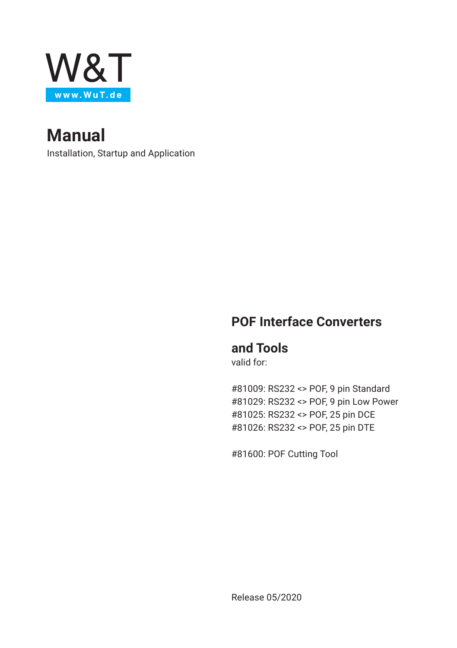

**Manual**

Installation, Startup and Application

## **POF Interface Converters**

### **and Tools**

valid for:

#81009: RS232 <> POF, 9 pin Standard #81029: RS232 <> POF, 9 pin Low Power #81025: RS232 <> POF, 25 pin DCE #81026: RS232 <> POF, 25 pin DTE

#81600: POF Cutting Tool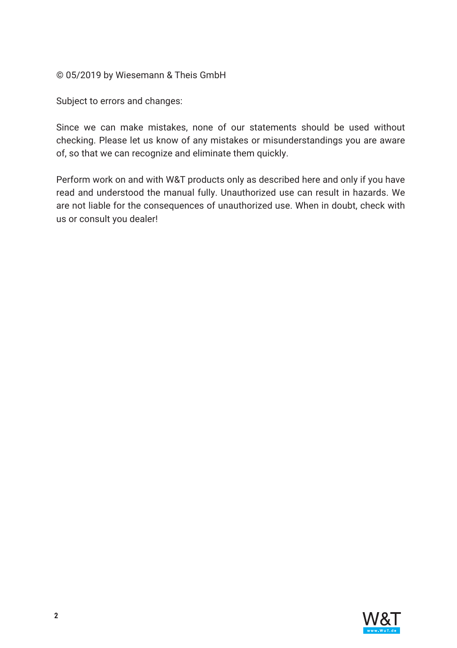© 05/2019 by Wiesemann & Theis GmbH

Subject to errors and changes:

Since we can make mistakes, none of our statements should be used without checking. Please let us know of any mistakes or misunderstandings you are aware of, so that we can recognize and eliminate them quickly.

Perform work on and with W&T products only as described here and only if you have read and understood the manual fully. Unauthorized use can result in hazards. We are not liable for the consequences of unauthorized use. When in doubt, check with us or consult you dealer!

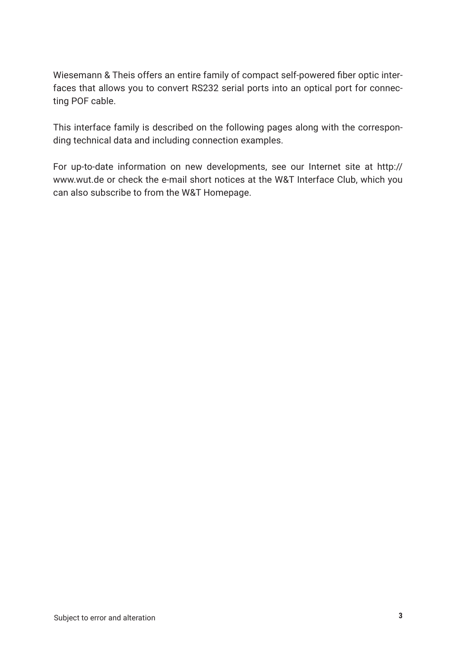Wiesemann & Theis offers an entire family of compact self-powered fiber optic interfaces that allows you to convert RS232 serial ports into an optical port for connecting POF cable.

This interface family is described on the following pages along with the corresponding technical data and including connection examples.

For up-to-date information on new developments, see our Internet site at http:// www.wut.de or check the e-mail short notices at the W&T Interface Club, which you can also subscribe to from the W&T Homepage.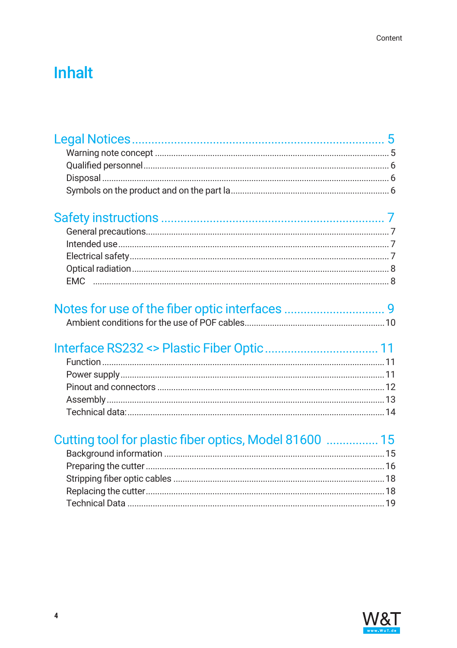# **Inhalt**

| Cutting tool for plastic fiber optics, Model 81600  15 |  |
|--------------------------------------------------------|--|
|                                                        |  |
|                                                        |  |
|                                                        |  |
|                                                        |  |
|                                                        |  |
|                                                        |  |
|                                                        |  |
|                                                        |  |

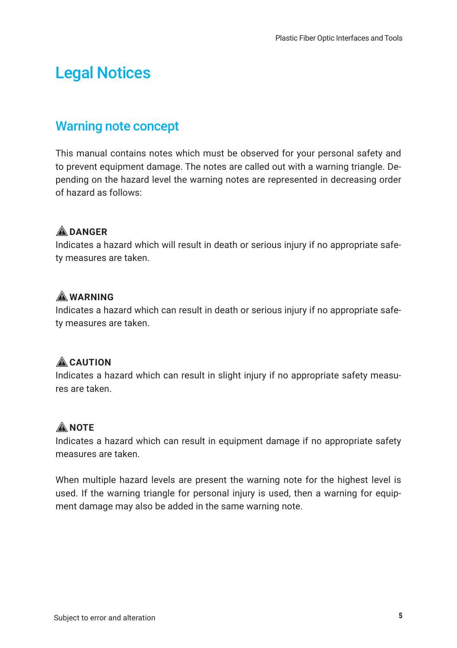# <span id="page-4-0"></span>Legal Notices

### Warning note concept

This manual contains notes which must be observed for your personal safety and to prevent equipment damage. The notes are called out with a warning triangle. Depending on the hazard level the warning notes are represented in decreasing order of hazard as follows:

#### 1**DANGER**

Indicates a hazard which will result in death or serious injury if no appropriate safety measures are taken.

#### 1**WARNING**

Indicates a hazard which can result in death or serious injury if no appropriate safety measures are taken.

#### **ACAUTION**

Indicates a hazard which can result in slight injury if no appropriate safety measures are taken.

#### **ANOTE**

Indicates a hazard which can result in equipment damage if no appropriate safety measures are taken.

When multiple hazard levels are present the warning note for the highest level is used. If the warning triangle for personal injury is used, then a warning for equipment damage may also be added in the same warning note.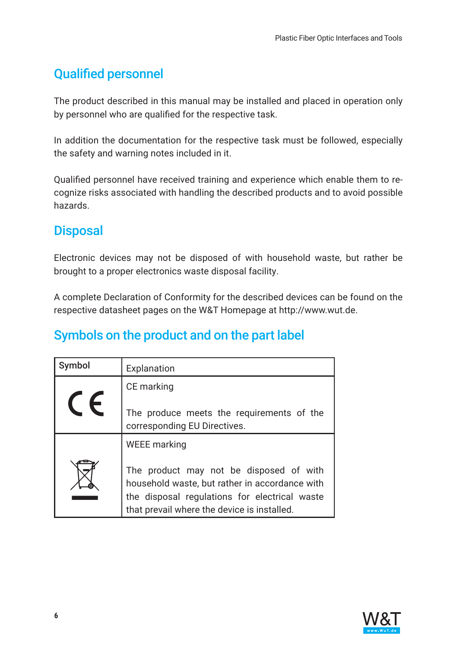## <span id="page-5-0"></span>Qualified personnel

The product described in this manual may be installed and placed in operation only by personnel who are qualified for the respective task.

In addition the documentation for the respective task must be followed, especially the safety and warning notes included in it.

Qualified personnel have received training and experience which enable them to recognize risks associated with handling the described products and to avoid possible hazards.

## **Disposal**

Electronic devices may not be disposed of with household waste, but rather be brought to a proper electronics waste disposal facility.

A complete Declaration of Conformity for the described devices can be found on the respective datasheet pages on the W&T Homepage at http://www.wut.de.

## Symbols on the product and on the part label

| Symbol | Explanation                                                                                                                                                                               |
|--------|-------------------------------------------------------------------------------------------------------------------------------------------------------------------------------------------|
|        | CE marking                                                                                                                                                                                |
|        | The produce meets the requirements of the<br>corresponding EU Directives.                                                                                                                 |
|        | WEEE marking                                                                                                                                                                              |
|        | The product may not be disposed of with<br>household waste, but rather in accordance with<br>the disposal regulations for electrical waste<br>that prevail where the device is installed. |

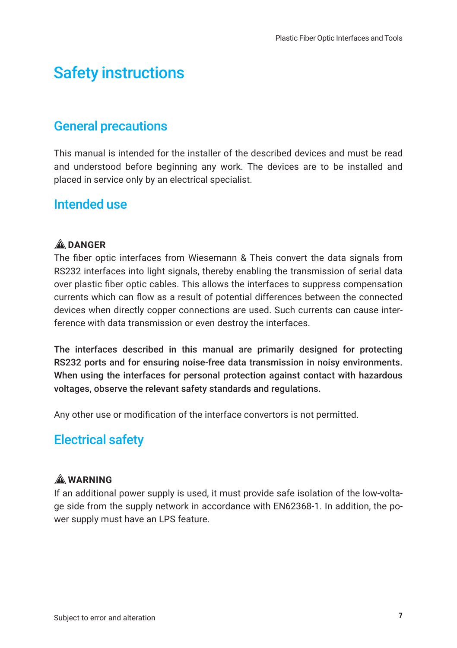# <span id="page-6-0"></span>Safety instructions

### General precautions

This manual is intended for the installer of the described devices and must be read and understood before beginning any work. The devices are to be installed and placed in service only by an electrical specialist.

### Intended use

#### 1**DANGER**

The fiber optic interfaces from Wiesemann & Theis convert the data signals from RS232 interfaces into light signals, thereby enabling the transmission of serial data over plastic fiber optic cables. This allows the interfaces to suppress compensation currents which can flow as a result of potential differences between the connected devices when directly copper connections are used. Such currents can cause interference with data transmission or even destroy the interfaces.

The interfaces described in this manual are primarily designed for protecting RS232 ports and for ensuring noise-free data transmission in noisy environments. When using the interfaces for personal protection against contact with hazardous voltages, observe the relevant safety standards and regulations.

Any other use or modification of the interface convertors is not permitted.

### Electrical safety

#### 1**WARNING**

If an additional power supply is used, it must provide safe isolation of the low-voltage side from the supply network in accordance with EN62368-1. In addition, the power supply must have an LPS feature.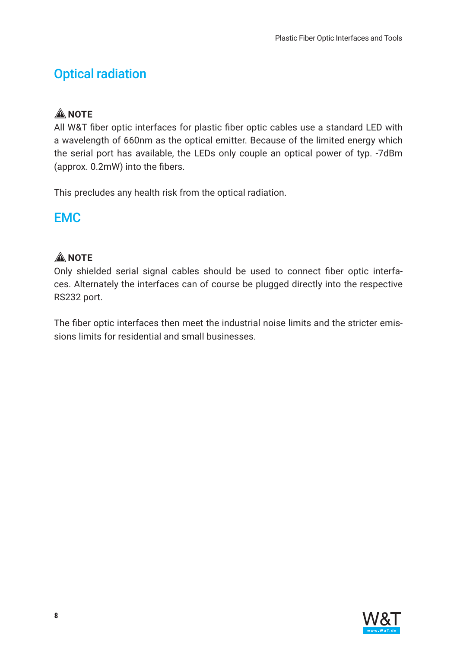## <span id="page-7-0"></span>Optical radiation

### **ANOTE**

All W&T fiber optic interfaces for plastic fiber optic cables use a standard LED with a wavelength of 660nm as the optical emitter. Because of the limited energy which the serial port has available, the LEDs only couple an optical power of typ. -7dBm (approx. 0.2mW) into the fibers.

This precludes any health risk from the optical radiation.

### EMC

### **A** NOTE

Only shielded serial signal cables should be used to connect fiber optic interfaces. Alternately the interfaces can of course be plugged directly into the respective RS232 port.

The fiber optic interfaces then meet the industrial noise limits and the stricter emissions limits for residential and small businesses.

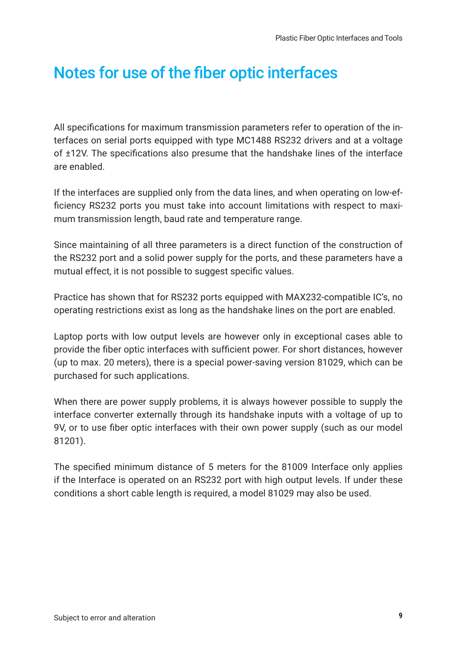# <span id="page-8-0"></span>Notes for use of the fiber optic interfaces

All specifications for maximum transmission parameters refer to operation of the interfaces on serial ports equipped with type MC1488 RS232 drivers and at a voltage of ±12V. The specifications also presume that the handshake lines of the interface are enabled.

If the interfaces are supplied only from the data lines, and when operating on low-efficiency RS232 ports you must take into account limitations with respect to maximum transmission length, baud rate and temperature range.

Since maintaining of all three parameters is a direct function of the construction of the RS232 port and a solid power supply for the ports, and these parameters have a mutual effect, it is not possible to suggest specific values.

Practice has shown that for RS232 ports equipped with MAX232-compatible IC's, no operating restrictions exist as long as the handshake lines on the port are enabled.

Laptop ports with low output levels are however only in exceptional cases able to provide the fiber optic interfaces with sufficient power. For short distances, however (up to max. 20 meters), there is a special power-saving version 81029, which can be purchased for such applications.

When there are power supply problems, it is always however possible to supply the interface converter externally through its handshake inputs with a voltage of up to 9V, or to use fiber optic interfaces with their own power supply (such as our model 81201).

The specified minimum distance of 5 meters for the 81009 Interface only applies if the Interface is operated on an RS232 port with high output levels. If under these conditions a short cable length is required, a model 81029 may also be used.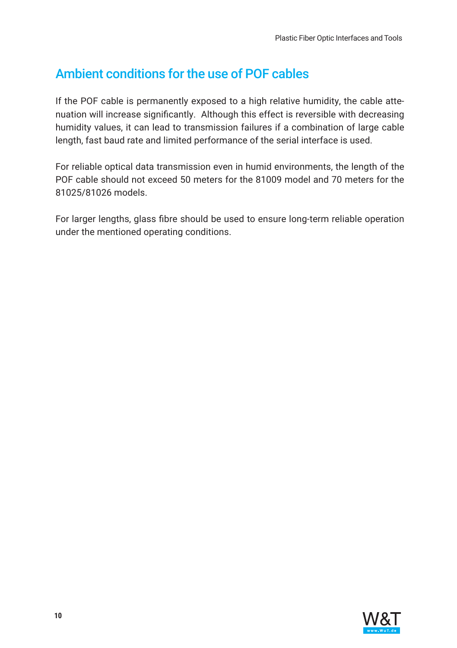## <span id="page-9-0"></span>Ambient conditions for the use of POF cables

If the POF cable is permanently exposed to a high relative humidity, the cable attenuation will increase significantly. Although this effect is reversible with decreasing humidity values, it can lead to transmission failures if a combination of large cable length, fast baud rate and limited performance of the serial interface is used.

For reliable optical data transmission even in humid environments, the length of the POF cable should not exceed 50 meters for the 81009 model and 70 meters for the 81025/81026 models.

For larger lengths, glass fibre should be used to ensure long-term reliable operation under the mentioned operating conditions.

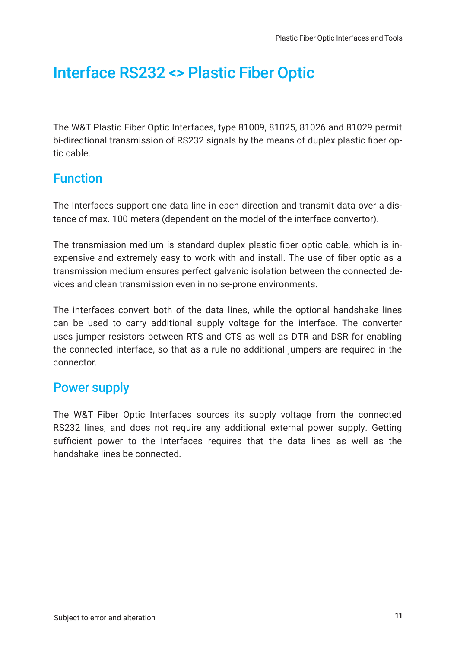# <span id="page-10-0"></span>Interface RS232 <> Plastic Fiber Optic

The W&T Plastic Fiber Optic Interfaces, type 81009, 81025, 81026 and 81029 permit bi-directional transmission of RS232 signals by the means of duplex plastic fiber optic cable.

### Function

The Interfaces support one data line in each direction and transmit data over a distance of max. 100 meters (dependent on the model of the interface convertor).

The transmission medium is standard duplex plastic fiber optic cable, which is inexpensive and extremely easy to work with and install. The use of fiber optic as a transmission medium ensures perfect galvanic isolation between the connected devices and clean transmission even in noise-prone environments.

The interfaces convert both of the data lines, while the optional handshake lines can be used to carry additional supply voltage for the interface. The converter uses jumper resistors between RTS and CTS as well as DTR and DSR for enabling the connected interface, so that as a rule no additional jumpers are required in the connector.

### Power supply

The W&T Fiber Optic Interfaces sources its supply voltage from the connected RS232 lines, and does not require any additional external power supply. Getting sufficient power to the Interfaces requires that the data lines as well as the handshake lines be connected.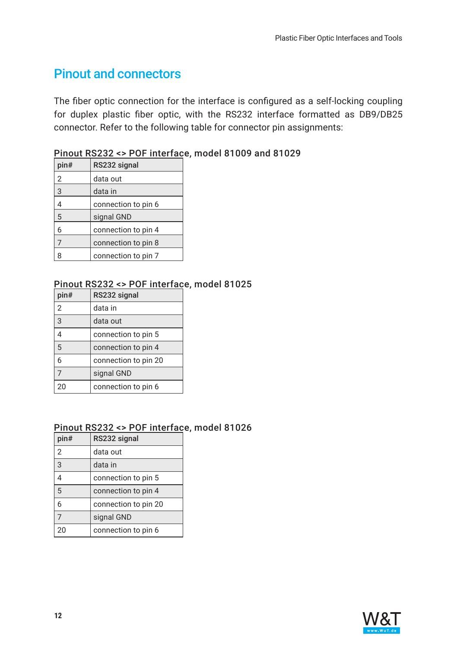### <span id="page-11-0"></span>Pinout and connectors

The fiber optic connection for the interface is configured as a self-locking coupling for duplex plastic fiber optic, with the RS232 interface formatted as DB9/DB25 connector. Refer to the following table for connector pin assignments:

| pin#           | RS232 signal        |
|----------------|---------------------|
| 2              | data out            |
| $\overline{3}$ | data in             |
| 4              | connection to pin 6 |
| 5              | signal GND          |
| 6              | connection to pin 4 |
|                | connection to pin 8 |
|                | connection to pin 7 |

#### Pinout RS232 <> POF interface, model 81009 and 81029

#### Pinout RS232 <> POF interface, model 81025

| pin#           | RS232 signal         |
|----------------|----------------------|
| $\overline{2}$ | data in              |
| $\overline{3}$ | data out             |
|                | connection to pin 5  |
| 5              | connection to pin 4  |
| 6              | connection to pin 20 |
| $\overline{7}$ | signal GND           |
| 20             | connection to pin 6  |

#### Pinout RS232 <> POF interface, model 81026

| pin#           | RS232 signal         |
|----------------|----------------------|
| $\overline{2}$ | data out             |
| 3              | data in              |
|                | connection to pin 5  |
| 5              | connection to pin 4  |
| 6              | connection to pin 20 |
| $\overline{7}$ | signal GND           |
| 20             | connection to pin 6  |

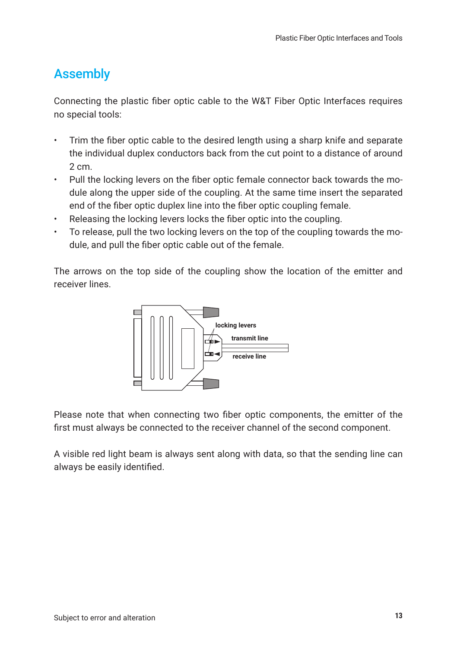## <span id="page-12-0"></span>Assembly

Connecting the plastic fiber optic cable to the W&T Fiber Optic Interfaces requires no special tools:

- Trim the fiber optic cable to the desired length using a sharp knife and separate the individual duplex conductors back from the cut point to a distance of around 2 cm.
- Pull the locking levers on the fiber optic female connector back towards the module along the upper side of the coupling. At the same time insert the separated end of the fiber optic duplex line into the fiber optic coupling female.
- Releasing the locking levers locks the fiber optic into the coupling.
- To release, pull the two locking levers on the top of the coupling towards the module, and pull the fiber optic cable out of the female.

The arrows on the top side of the coupling show the location of the emitter and receiver lines.



Please note that when connecting two fiber optic components, the emitter of the first must always be connected to the receiver channel of the second component.

A visible red light beam is always sent along with data, so that the sending line can always be easily identified.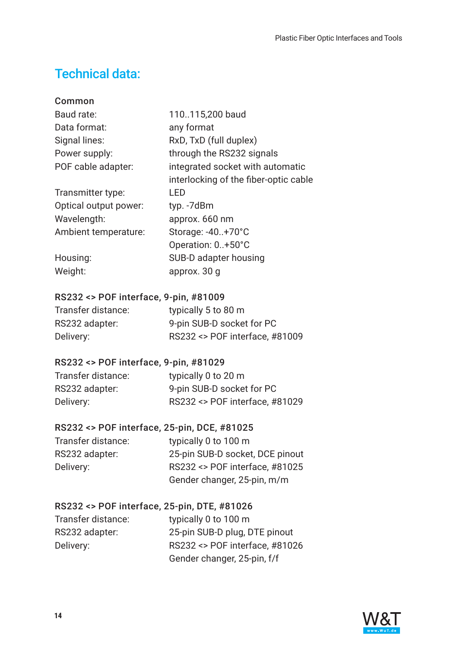## <span id="page-13-0"></span>Technical data:

| Common                |                                       |
|-----------------------|---------------------------------------|
| Baud rate:            | 110115,200 baud                       |
| Data format:          | any format                            |
| Signal lines:         | RxD, TxD (full duplex)                |
| Power supply:         | through the RS232 signals             |
| POF cable adapter:    | integrated socket with automatic      |
|                       | interlocking of the fiber-optic cable |
| Transmitter type:     | LED                                   |
| Optical output power: | typ. -7dBm                            |
| Wavelength:           | approx. 660 nm                        |
| Ambient temperature:  | Storage: -40+70°C                     |
|                       | Operation: 0+50°C                     |
| Housing:              | SUB-D adapter housing                 |
| Weight:               | approx. 30 g                          |
|                       |                                       |

#### RS232 <> POF interface, 9-pin, #81009

| Transfer distance: | typically 5 to 80 m            |
|--------------------|--------------------------------|
| RS232 adapter:     | 9-pin SUB-D socket for PC      |
| Delivery:          | RS232 <> POF interface, #81009 |

#### RS232 <> POF interface, 9-pin, #81029

| Transfer distance: | typically 0 to 20 m            |
|--------------------|--------------------------------|
| RS232 adapter:     | 9-pin SUB-D socket for PC      |
| Delivery:          | RS232 <> POF interface, #81029 |

#### RS232 <> POF interface, 25-pin, DCE, #81025

| typically 0 to 100 m            |
|---------------------------------|
| 25-pin SUB-D socket, DCE pinout |
| RS232 <> POF interface, #81025  |
| Gender changer, 25-pin, m/m     |
|                                 |

#### RS232 <> POF interface, 25-pin, DTE, #81026

Transfer distance: typically 0 to 100 m

RS232 adapter: 25-pin SUB-D plug, DTE pinout Delivery: RS232 <> POF interface, #81026 Gender changer, 25-pin, f/f

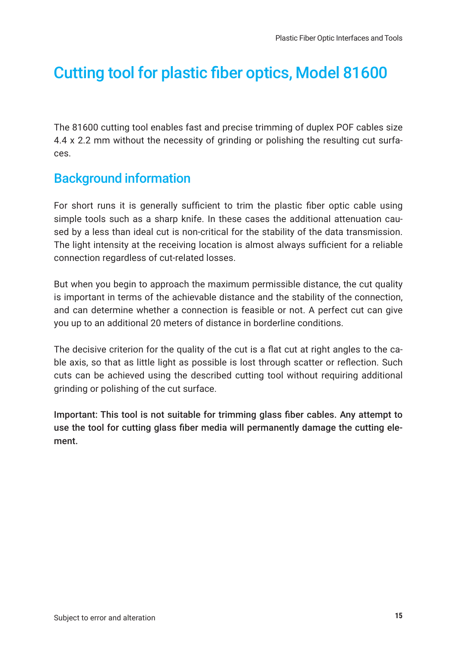# <span id="page-14-0"></span>Cutting tool for plastic fiber optics, Model 81600

The 81600 cutting tool enables fast and precise trimming of duplex POF cables size 4.4 x 2.2 mm without the necessity of grinding or polishing the resulting cut surfaces.

### Background information

For short runs it is generally sufficient to trim the plastic fiber optic cable using simple tools such as a sharp knife. In these cases the additional attenuation caused by a less than ideal cut is non-critical for the stability of the data transmission. The light intensity at the receiving location is almost always sufficient for a reliable connection regardless of cut-related losses.

But when you begin to approach the maximum permissible distance, the cut quality is important in terms of the achievable distance and the stability of the connection, and can determine whether a connection is feasible or not. A perfect cut can give you up to an additional 20 meters of distance in borderline conditions.

The decisive criterion for the quality of the cut is a flat cut at right angles to the cable axis, so that as little light as possible is lost through scatter or reflection. Such cuts can be achieved using the described cutting tool without requiring additional grinding or polishing of the cut surface.

Important: This tool is not suitable for trimming glass fiber cables. Any attempt to use the tool for cutting glass fiber media will permanently damage the cutting element.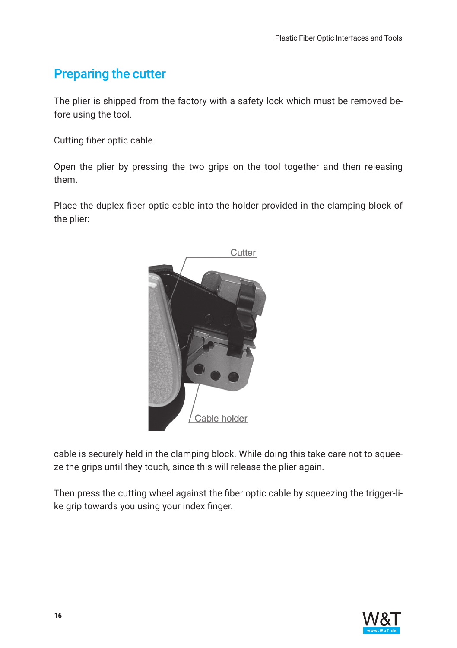## <span id="page-15-0"></span>Preparing the cutter

The plier is shipped from the factory with a safety lock which must be removed before using the tool.

Cutting fiber optic cable

Open the plier by pressing the two grips on the tool together and then releasing them.

Place the duplex fiber optic cable into the holder provided in the clamping block of the plier:



cable is securely held in the clamping block. While doing this take care not to squeeze the grips until they touch, since this will release the plier again.

Then press the cutting wheel against the fiber optic cable by squeezing the trigger-like grip towards you using your index finger.

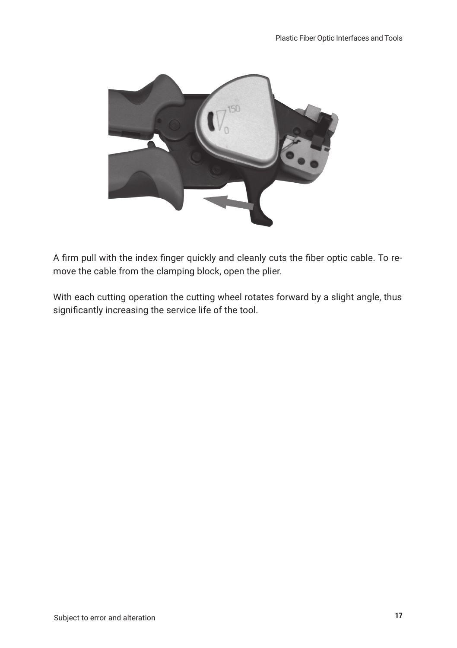

A firm pull with the index finger quickly and cleanly cuts the fiber optic cable. To remove the cable from the clamping block, open the plier.

With each cutting operation the cutting wheel rotates forward by a slight angle, thus significantly increasing the service life of the tool.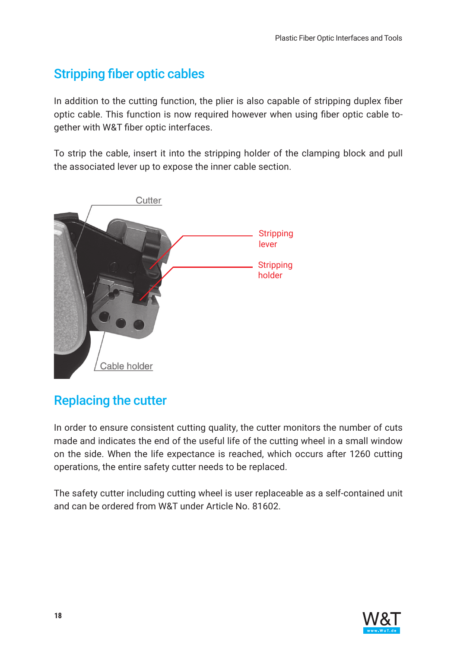## <span id="page-17-0"></span>Stripping fiber optic cables

In addition to the cutting function, the plier is also capable of stripping duplex fiber optic cable. This function is now required however when using fiber optic cable together with W&T fiber optic interfaces.

To strip the cable, insert it into the stripping holder of the clamping block and pull the associated lever up to expose the inner cable section.



## Replacing the cutter

In order to ensure consistent cutting quality, the cutter monitors the number of cuts made and indicates the end of the useful life of the cutting wheel in a small window on the side. When the life expectance is reached, which occurs after 1260 cutting operations, the entire safety cutter needs to be replaced.

The safety cutter including cutting wheel is user replaceable as a self-contained unit and can be ordered from W&T under Article No. 81602.

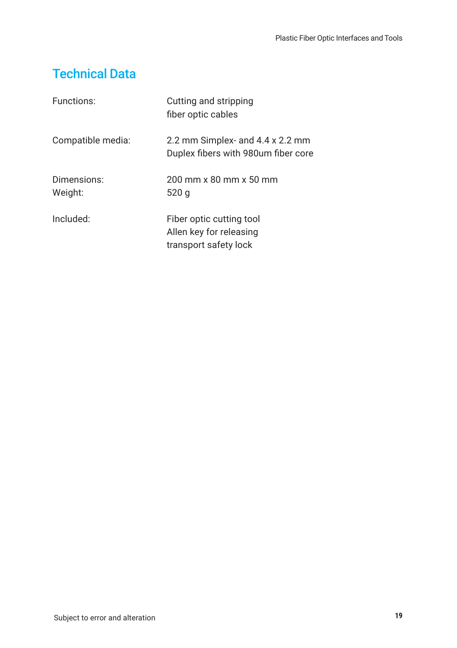## <span id="page-18-0"></span>Technical Data

| Functions:             | Cutting and stripping<br>fiber optic cables                                  |
|------------------------|------------------------------------------------------------------------------|
| Compatible media:      | 2.2 mm Simplex- and 4.4 x 2.2 mm<br>Duplex fibers with 980um fiber core      |
| Dimensions:<br>Weight: | 200 mm x 80 mm x 50 mm<br>520 g                                              |
| Included:              | Fiber optic cutting tool<br>Allen key for releasing<br>transport safety lock |